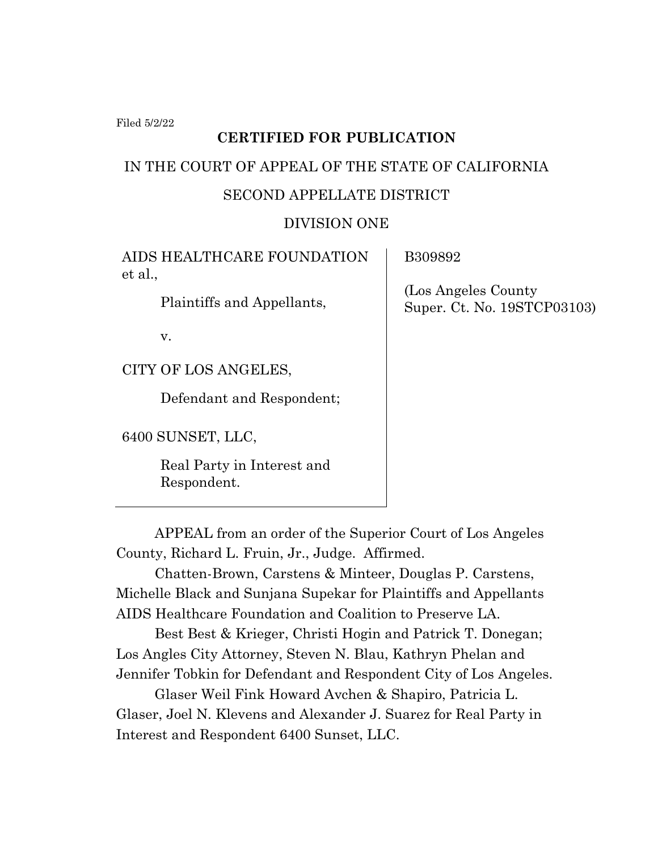Filed 5/2/22

# **CERTIFIED FOR PUBLICATION**

# IN THE COURT OF APPEAL OF THE STATE OF CALIFORNIA

# SECOND APPELLATE DISTRICT

### DIVISION ONE

AIDS HEALTHCARE FOUNDATION et al.,

Plaintiffs and Appellants,

v.

CITY OF LOS ANGELES,

Defendant and Respondent;

6400 SUNSET, LLC,

Real Party in Interest and Respondent.

B309892

 (Los Angeles County Super. Ct. No. 19STCP03103)

APPEAL from an order of the Superior Court of Los Angeles County, Richard L. Fruin, Jr., Judge. Affirmed.

Chatten-Brown, Carstens & Minteer, Douglas P. Carstens, Michelle Black and Sunjana Supekar for Plaintiffs and Appellants AIDS Healthcare Foundation and Coalition to Preserve LA.

Best Best & Krieger, Christi Hogin and Patrick T. Donegan; Los Angles City Attorney, Steven N. Blau, Kathryn Phelan and Jennifer Tobkin for Defendant and Respondent City of Los Angeles.

Glaser Weil Fink Howard Avchen & Shapiro, Patricia L. Glaser, Joel N. Klevens and Alexander J. Suarez for Real Party in Interest and Respondent 6400 Sunset, LLC.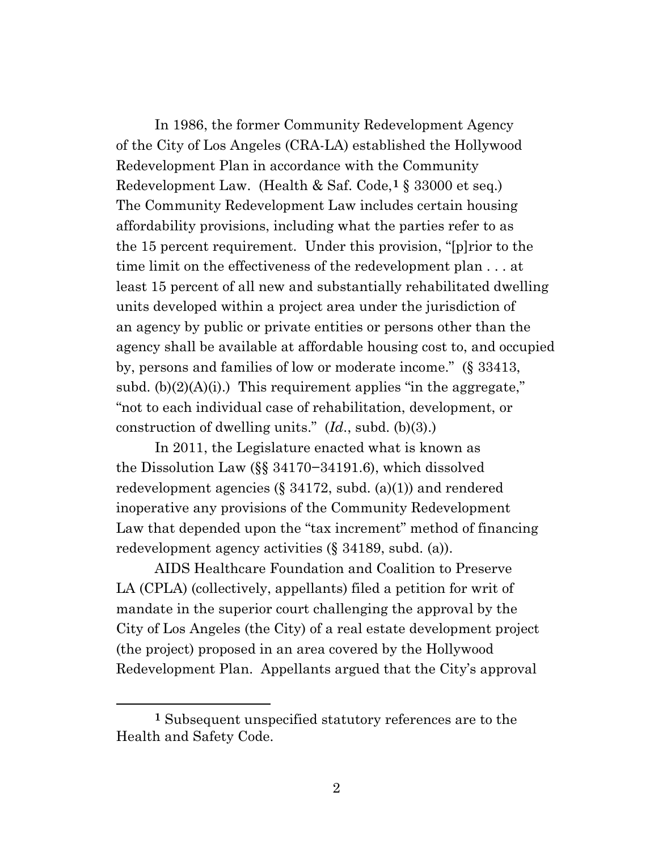In 1986, the former Community Redevelopment Agency of the City of Los Angeles (CRA-LA) established the Hollywood Redevelopment Plan in accordance with the Community Redevelopment Law. (Health & Saf. Code,**[1](#page-1-0)** § 33000 et seq.) The Community Redevelopment Law includes certain housing affordability provisions, including what the parties refer to as the 15 percent requirement. Under this provision, "[p]rior to the time limit on the effectiveness of the redevelopment plan . . . at least 15 percent of all new and substantially rehabilitated dwelling units developed within a project area under the jurisdiction of an agency by public or private entities or persons other than the agency shall be available at affordable housing cost to, and occupied by, persons and families of low or moderate income." (§ 33413, subd.  $(b)(2)(A)(i)$ .) This requirement applies "in the aggregate," "not to each individual case of rehabilitation, development, or construction of dwelling units." (*Id*., subd. (b)(3).)

In 2011, the Legislature enacted what is known as the Dissolution Law (§§ 34170−34191.6), which dissolved redevelopment agencies  $(\S 34172, \text{subd.} (a)(1))$  and rendered inoperative any provisions of the Community Redevelopment Law that depended upon the "tax increment" method of financing redevelopment agency activities (§ 34189, subd. (a)).

AIDS Healthcare Foundation and Coalition to Preserve LA (CPLA) (collectively, appellants) filed a petition for writ of mandate in the superior court challenging the approval by the City of Los Angeles (the City) of a real estate development project (the project) proposed in an area covered by the Hollywood Redevelopment Plan. Appellants argued that the City's approval

<span id="page-1-0"></span>**<sup>1</sup>** Subsequent unspecified statutory references are to the Health and Safety Code.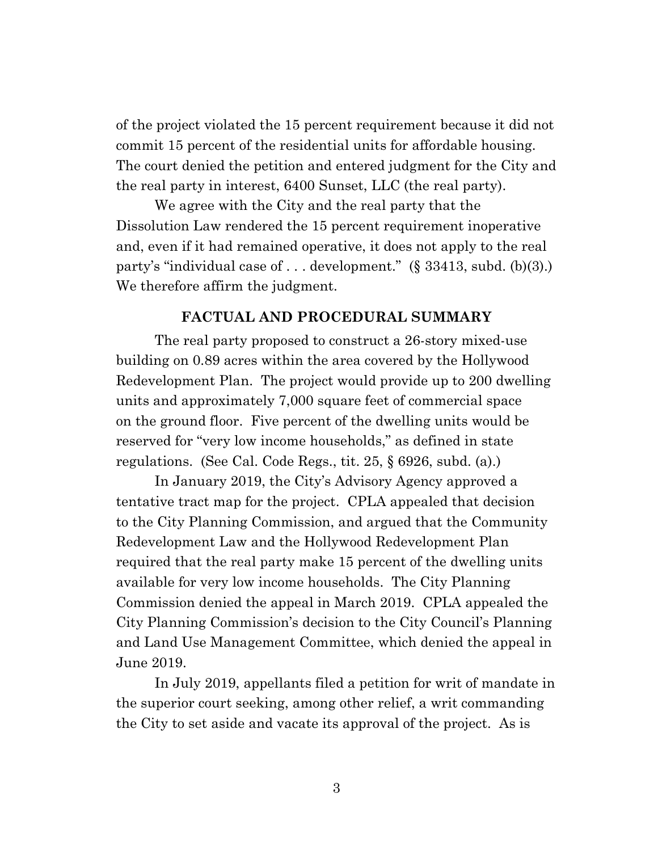of the project violated the 15 percent requirement because it did not commit 15 percent of the residential units for affordable housing. The court denied the petition and entered judgment for the City and the real party in interest, 6400 Sunset, LLC (the real party).

We agree with the City and the real party that the Dissolution Law rendered the 15 percent requirement inoperative and, even if it had remained operative, it does not apply to the real party's "individual case of . . . development." (§ 33413, subd. (b)(3).) We therefore affirm the judgment.

#### **FACTUAL AND PROCEDURAL SUMMARY**

The real party proposed to construct a 26-story mixed-use building on 0.89 acres within the area covered by the Hollywood Redevelopment Plan. The project would provide up to 200 dwelling units and approximately 7,000 square feet of commercial space on the ground floor. Five percent of the dwelling units would be reserved for "very low income households," as defined in state regulations. (See Cal. Code Regs., tit. 25, § 6926, subd. (a).)

In January 2019, the City's Advisory Agency approved a tentative tract map for the project. CPLA appealed that decision to the City Planning Commission, and argued that the Community Redevelopment Law and the Hollywood Redevelopment Plan required that the real party make 15 percent of the dwelling units available for very low income households. The City Planning Commission denied the appeal in March 2019. CPLA appealed the City Planning Commission's decision to the City Council's Planning and Land Use Management Committee, which denied the appeal in June 2019.

In July 2019, appellants filed a petition for writ of mandate in the superior court seeking, among other relief, a writ commanding the City to set aside and vacate its approval of the project. As is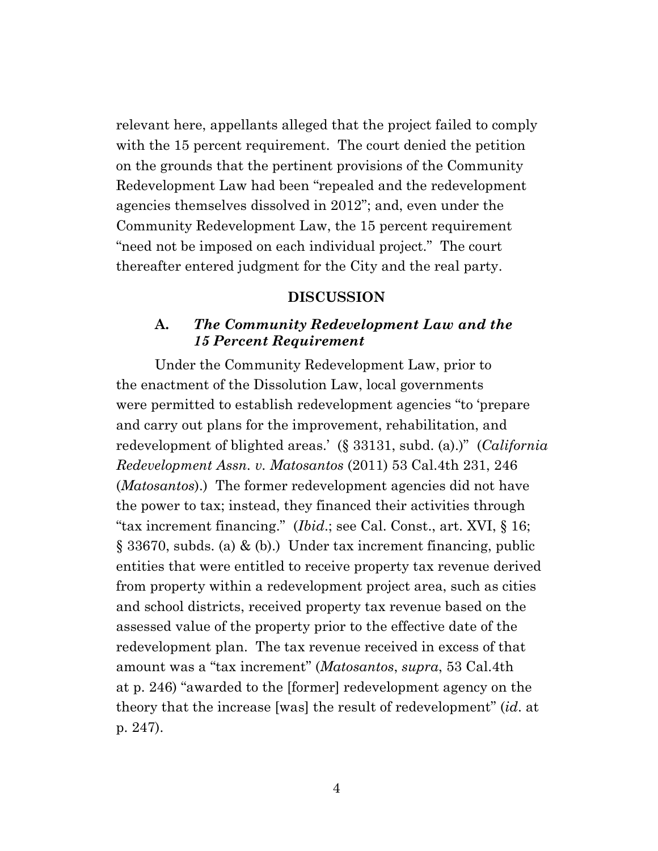relevant here, appellants alleged that the project failed to comply with the 15 percent requirement. The court denied the petition on the grounds that the pertinent provisions of the Community Redevelopment Law had been "repealed and the redevelopment agencies themselves dissolved in 2012"; and, even under the Community Redevelopment Law, the 15 percent requirement "need not be imposed on each individual project." The court thereafter entered judgment for the City and the real party.

# **DISCUSSION**

# **A.** *The Community Redevelopment Law and the 15 Percent Requirement*

Under the Community Redevelopment Law, prior to the enactment of the Dissolution Law, local governments were permitted to establish redevelopment agencies "to 'prepare and carry out plans for the improvement, rehabilitation, and redevelopment of blighted areas.' (§ 33131, subd. (a).)" (*California Redevelopment Assn. v. Matosantos* (2011) 53 Cal.4th 231, 246 (*Matosantos*).) The former redevelopment agencies did not have the power to tax; instead, they financed their activities through "tax increment financing." (*Ibid*.; see Cal. Const., art. XVI, § 16; § 33670, subds. (a) & (b).) Under tax increment financing, public entities that were entitled to receive property tax revenue derived from property within a redevelopment project area, such as cities and school districts, received property tax revenue based on the assessed value of the property prior to the effective date of the redevelopment plan. The tax revenue received in excess of that amount was a "tax increment" (*Matosantos*, *supra*, 53 Cal.4th at p. 246) "awarded to the [former] redevelopment agency on the theory that the increase [was] the result of redevelopment" (*id*. at p. 247).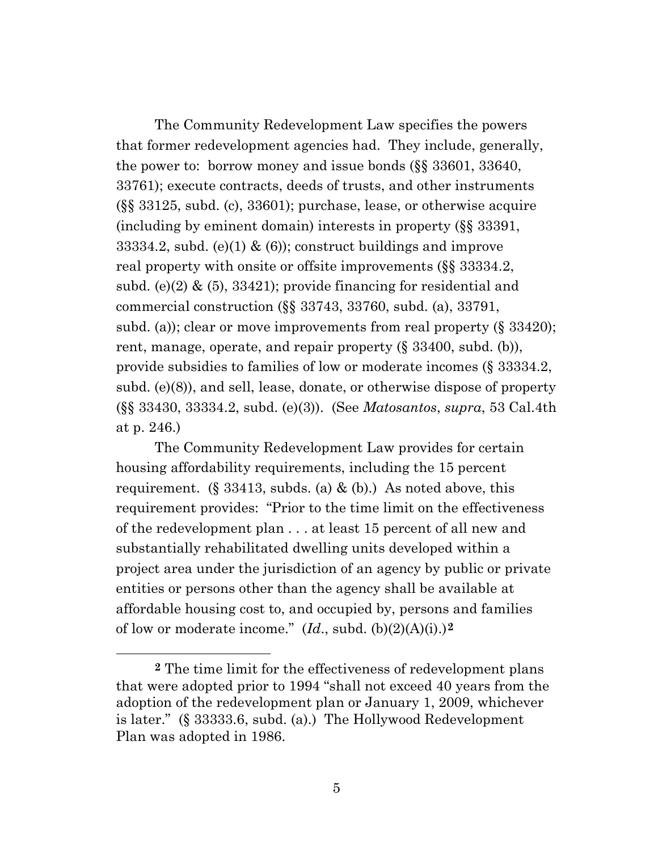The Community Redevelopment Law specifies the powers that former redevelopment agencies had. They include, generally, the power to: borrow money and issue bonds (§§ 33601, 33640, 33761); execute contracts, deeds of trusts, and other instruments (§§ 33125, subd. (c), 33601); purchase, lease, or otherwise acquire (including by eminent domain) interests in property (§§ 33391, 33334.2, subd. (e)(1)  $\&$  (6)); construct buildings and improve real property with onsite or offsite improvements (§§ 33334.2, subd. (e)(2)  $\&$  (5), 33421); provide financing for residential and commercial construction (§§ 33743, 33760, subd. (a), 33791, subd. (a)); clear or move improvements from real property (§ 33420); rent, manage, operate, and repair property (§ 33400, subd. (b)), provide subsidies to families of low or moderate incomes (§ 33334.2, subd. (e)(8)), and sell, lease, donate, or otherwise dispose of property (§§ 33430, 33334.2, subd. (e)(3)). (See *Matosantos*, *supra*, 53 Cal.4th at p. 246.)

The Community Redevelopment Law provides for certain housing affordability requirements, including the 15 percent requirement. (§ 33413, subds. (a)  $\&$  (b).) As noted above, this requirement provides: "Prior to the time limit on the effectiveness of the redevelopment plan . . . at least 15 percent of all new and substantially rehabilitated dwelling units developed within a project area under the jurisdiction of an agency by public or private entities or persons other than the agency shall be available at affordable housing cost to, and occupied by, persons and families of low or moderate income." (*Id*., subd. (b)(2)(A)(i).)**[2](#page-4-0)**

<span id="page-4-0"></span>**<sup>2</sup>** The time limit for the effectiveness of redevelopment plans that were adopted prior to 1994 "shall not exceed 40 years from the adoption of the redevelopment plan or January 1, 2009, whichever is later." (§ 33333.6, subd. (a).) The Hollywood Redevelopment Plan was adopted in 1986.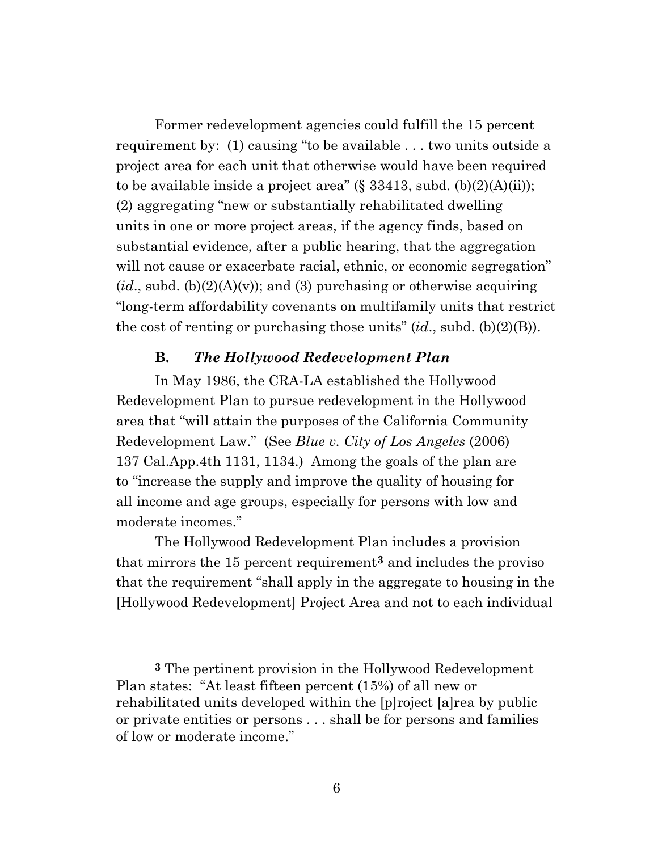Former redevelopment agencies could fulfill the 15 percent requirement by: (1) causing "to be available . . . two units outside a project area for each unit that otherwise would have been required to be available inside a project area"  $(\S 33413, \text{subd.} (b)(2)(A)(ii))$ ; (2) aggregating "new or substantially rehabilitated dwelling units in one or more project areas, if the agency finds, based on substantial evidence, after a public hearing, that the aggregation will not cause or exacerbate racial, ethnic, or economic segregation"  $(id, \text{subd.}(b)(2)(A)(v))$ ; and (3) purchasing or otherwise acquiring "long-term affordability covenants on multifamily units that restrict the cost of renting or purchasing those units" (*id*., subd. (b)(2)(B)).

#### **B.** *The Hollywood Redevelopment Plan*

In May 1986, the CRA-LA established the Hollywood Redevelopment Plan to pursue redevelopment in the Hollywood area that "will attain the purposes of the California Community Redevelopment Law." (See *Blue v. City of Los Angeles* (2006) 137 Cal.App.4th 1131, 1134.) Among the goals of the plan are to "increase the supply and improve the quality of housing for all income and age groups, especially for persons with low and moderate incomes."

The Hollywood Redevelopment Plan includes a provision that mirrors the 15 percent requirement**[3](#page-5-0)** and includes the proviso that the requirement "shall apply in the aggregate to housing in the [Hollywood Redevelopment] Project Area and not to each individual

<span id="page-5-0"></span>**<sup>3</sup>** The pertinent provision in the Hollywood Redevelopment Plan states: "At least fifteen percent (15%) of all new or rehabilitated units developed within the [p]roject [a]rea by public or private entities or persons . . . shall be for persons and families of low or moderate income."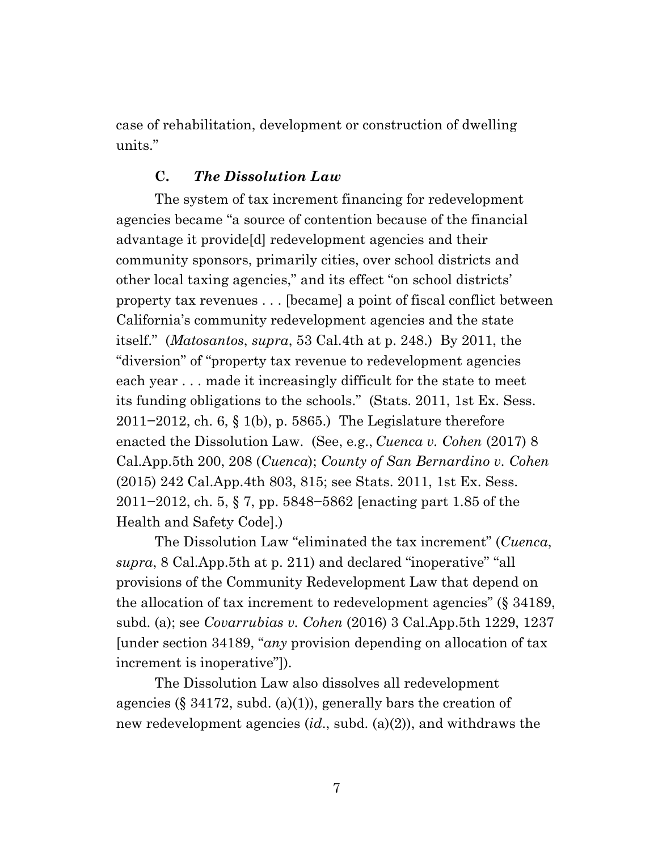case of rehabilitation, development or construction of dwelling units."

# **C.** *The Dissolution Law*

The system of tax increment financing for redevelopment agencies became "a source of contention because of the financial advantage it provide[d] redevelopment agencies and their community sponsors, primarily cities, over school districts and other local taxing agencies," and its effect "on school districts' property tax revenues . . . [became] a point of fiscal conflict between California's community redevelopment agencies and the state itself." (*Matosantos*, *supra*, 53 Cal.4th at p. 248.) By 2011, the "diversion" of "property tax revenue to redevelopment agencies each year . . . made it increasingly difficult for the state to meet its funding obligations to the schools." (Stats. 2011, 1st Ex. Sess. 2011−2012, ch. 6, § 1(b), p. 5865.) The Legislature therefore enacted the Dissolution Law. (See, e.g., *Cuenca v. Cohen* (2017) 8 Cal.App.5th 200, 208 (*Cuenca*); *County of San Bernardino v. Cohen* (2015) 242 Cal.App.4th 803, 815; see Stats. 2011, 1st Ex. Sess. 2011−2012, ch. 5, § 7, pp. 5848−5862 [enacting part 1.85 of the Health and Safety Code].)

The Dissolution Law "eliminated the tax increment" (*Cuenca*, *supra*, 8 Cal.App.5th at p. 211) and declared "inoperative" "all provisions of the Community Redevelopment Law that depend on the allocation of tax increment to redevelopment agencies" (§ 34189, subd. (a); see *Covarrubias v. Cohen* (2016) 3 Cal.App.5th 1229, 1237 [under section 34189, "*any* provision depending on allocation of tax increment is inoperative"]).

The Dissolution Law also dissolves all redevelopment agencies (§ 34172, subd.  $(a)(1)$ ), generally bars the creation of new redevelopment agencies (*id*., subd. (a)(2)), and withdraws the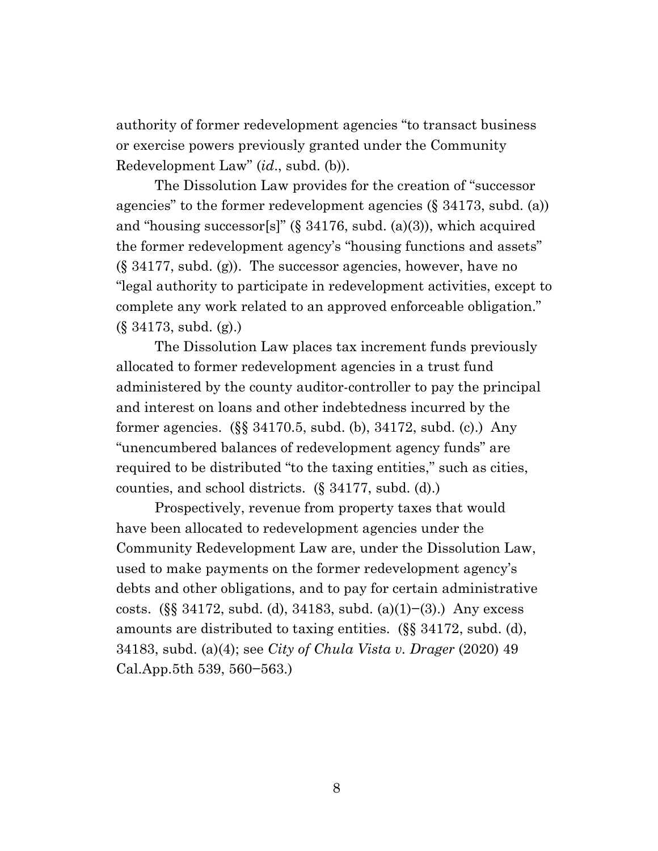authority of former redevelopment agencies "to transact business or exercise powers previously granted under the Community Redevelopment Law" (*id*., subd. (b)).

The Dissolution Law provides for the creation of "successor agencies" to the former redevelopment agencies (§ 34173, subd. (a)) and "housing successor[s]" (§  $34176$ , subd. (a)(3)), which acquired the former redevelopment agency's "housing functions and assets" (§ 34177, subd. (g)). The successor agencies, however, have no "legal authority to participate in redevelopment activities, except to complete any work related to an approved enforceable obligation." (§ 34173, subd. (g).)

The Dissolution Law places tax increment funds previously allocated to former redevelopment agencies in a trust fund administered by the county auditor-controller to pay the principal and interest on loans and other indebtedness incurred by the former agencies. (§§ 34170.5, subd. (b), 34172, subd. (c).) Any "unencumbered balances of redevelopment agency funds" are required to be distributed "to the taxing entities," such as cities, counties, and school districts. (§ 34177, subd. (d).)

Prospectively, revenue from property taxes that would have been allocated to redevelopment agencies under the Community Redevelopment Law are, under the Dissolution Law, used to make payments on the former redevelopment agency's debts and other obligations, and to pay for certain administrative costs. (§§ 34172, subd. (d), 34183, subd. (a)(1)−(3).) Any excess amounts are distributed to taxing entities. (§§ 34172, subd. (d), 34183, subd. (a)(4); see *City of Chula Vista v. Drager* (2020) 49 Cal.App.5th 539, 560−563.)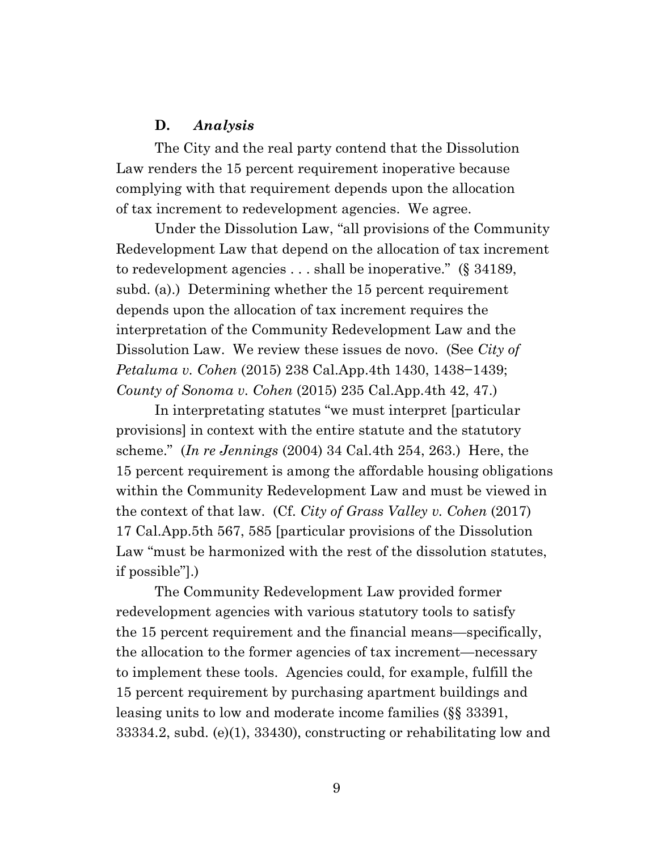### **D.** *Analysis*

The City and the real party contend that the Dissolution Law renders the 15 percent requirement inoperative because complying with that requirement depends upon the allocation of tax increment to redevelopment agencies. We agree.

Under the Dissolution Law, "all provisions of the Community Redevelopment Law that depend on the allocation of tax increment to redevelopment agencies . . . shall be inoperative." (§ 34189, subd. (a).) Determining whether the 15 percent requirement depends upon the allocation of tax increment requires the interpretation of the Community Redevelopment Law and the Dissolution Law. We review these issues de novo. (See *City of Petaluma v. Cohen* (2015) 238 Cal.App.4th 1430, 1438−1439; *County of Sonoma v. Cohen* (2015) 235 Cal.App.4th 42, 47.)

In interpretating statutes "we must interpret [particular provisions] in context with the entire statute and the statutory scheme." (*In re Jennings* (2004) 34 Cal.4th 254, 263.) Here, the 15 percent requirement is among the affordable housing obligations within the Community Redevelopment Law and must be viewed in the context of that law. (Cf. *City of Grass Valley v. Cohen* (2017) 17 Cal.App.5th 567, 585 [particular provisions of the Dissolution Law "must be harmonized with the rest of the dissolution statutes, if possible"].)

The Community Redevelopment Law provided former redevelopment agencies with various statutory tools to satisfy the 15 percent requirement and the financial means—specifically, the allocation to the former agencies of tax increment—necessary to implement these tools. Agencies could, for example, fulfill the 15 percent requirement by purchasing apartment buildings and leasing units to low and moderate income families (§§ 33391, 33334.2, subd. (e)(1), 33430), constructing or rehabilitating low and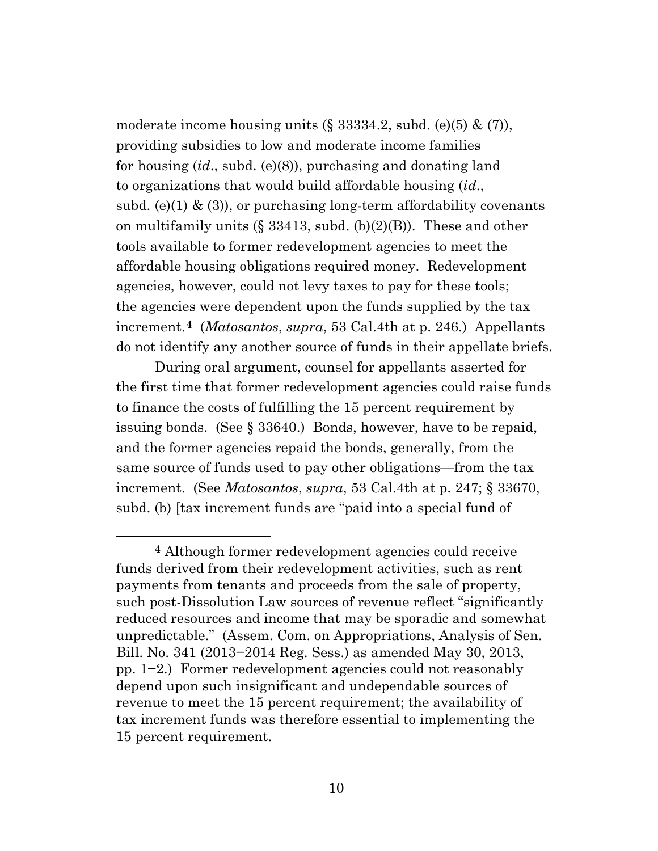moderate income housing units  $(\S 33334.2, \text{subd. (e)}(5) \& (7)),$ providing subsidies to low and moderate income families for housing (*id*., subd. (e)(8)), purchasing and donating land to organizations that would build affordable housing (*id*., subd. (e)(1)  $\&$  (3)), or purchasing long-term affordability covenants on multifamily units (§ 33413, subd. (b)(2)(B)). These and other tools available to former redevelopment agencies to meet the affordable housing obligations required money. Redevelopment agencies, however, could not levy taxes to pay for these tools; the agencies were dependent upon the funds supplied by the tax increment.**[4](#page-9-0)** (*Matosantos*, *supra*, 53 Cal.4th at p. 246.) Appellants do not identify any another source of funds in their appellate briefs.

During oral argument, counsel for appellants asserted for the first time that former redevelopment agencies could raise funds to finance the costs of fulfilling the 15 percent requirement by issuing bonds. (See § 33640.) Bonds, however, have to be repaid, and the former agencies repaid the bonds, generally, from the same source of funds used to pay other obligations—from the tax increment. (See *Matosantos*, *supra*, 53 Cal.4th at p. 247; § 33670, subd. (b) [tax increment funds are "paid into a special fund of

<span id="page-9-0"></span>**<sup>4</sup>** Although former redevelopment agencies could receive funds derived from their redevelopment activities, such as rent payments from tenants and proceeds from the sale of property, such post-Dissolution Law sources of revenue reflect "significantly reduced resources and income that may be sporadic and somewhat unpredictable." (Assem. Com. on Appropriations, Analysis of Sen. Bill. No. 341 (2013−2014 Reg. Sess.) as amended May 30, 2013, pp. 1−2.) Former redevelopment agencies could not reasonably depend upon such insignificant and undependable sources of revenue to meet the 15 percent requirement; the availability of tax increment funds was therefore essential to implementing the 15 percent requirement.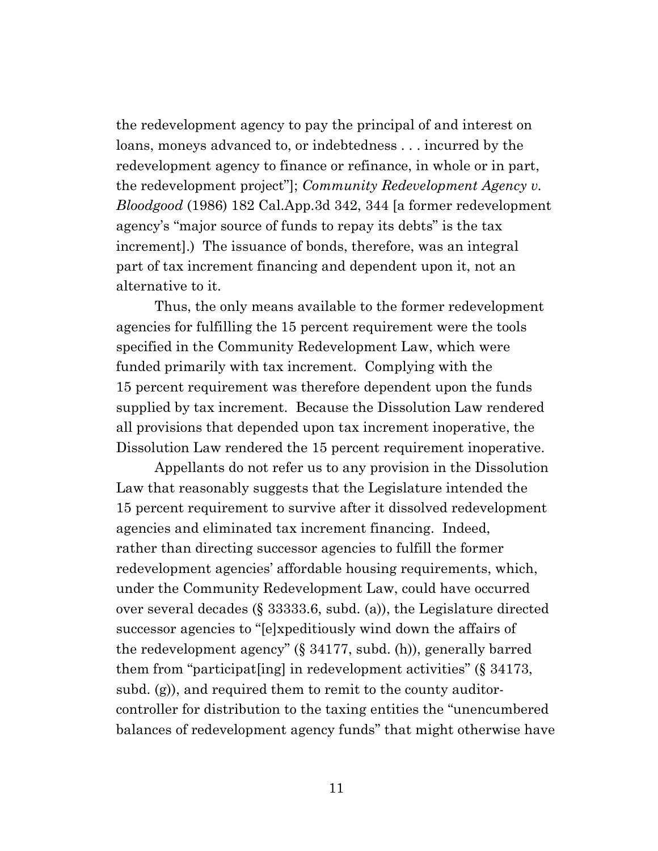the redevelopment agency to pay the principal of and interest on loans, moneys advanced to, or indebtedness . . . incurred by the redevelopment agency to finance or refinance, in whole or in part, the redevelopment project"]; *Community Redevelopment Agency v. Bloodgood* (1986) 182 Cal.App.3d 342, 344 [a former redevelopment agency's "major source of funds to repay its debts" is the tax increment].) The issuance of bonds, therefore, was an integral part of tax increment financing and dependent upon it, not an alternative to it.

Thus, the only means available to the former redevelopment agencies for fulfilling the 15 percent requirement were the tools specified in the Community Redevelopment Law, which were funded primarily with tax increment. Complying with the 15 percent requirement was therefore dependent upon the funds supplied by tax increment. Because the Dissolution Law rendered all provisions that depended upon tax increment inoperative, the Dissolution Law rendered the 15 percent requirement inoperative.

Appellants do not refer us to any provision in the Dissolution Law that reasonably suggests that the Legislature intended the 15 percent requirement to survive after it dissolved redevelopment agencies and eliminated tax increment financing. Indeed, rather than directing successor agencies to fulfill the former redevelopment agencies' affordable housing requirements, which, under the Community Redevelopment Law, could have occurred over several decades (§ 33333.6, subd. (a)), the Legislature directed successor agencies to "[e]xpeditiously wind down the affairs of the redevelopment agency" (§ 34177, subd. (h)), generally barred them from "participat[ing] in redevelopment activities" (§ 34173, subd. (g)), and required them to remit to the county auditorcontroller for distribution to the taxing entities the "unencumbered balances of redevelopment agency funds" that might otherwise have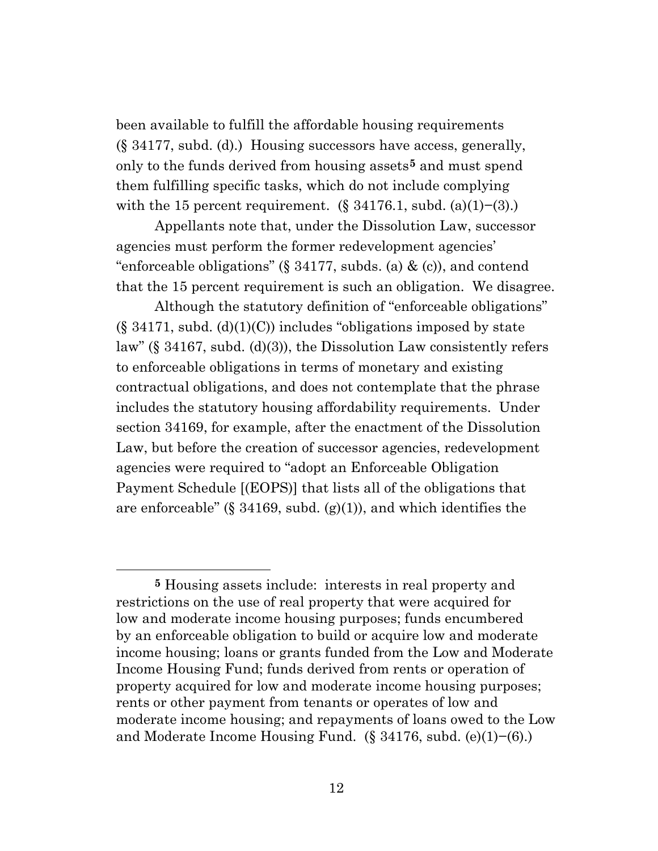been available to fulfill the affordable housing requirements (§ 34177, subd. (d).) Housing successors have access, generally, only to the funds derived from housing assets**[5](#page-11-0)** and must spend them fulfilling specific tasks, which do not include complying with the 15 percent requirement.  $(\S 34176.1, \text{subd.}(\text{a})(1)–(3))$ .

Appellants note that, under the Dissolution Law, successor agencies must perform the former redevelopment agencies' "enforceable obligations" (§ 34177, subds. (a)  $\&$  (c)), and contend that the 15 percent requirement is such an obligation. We disagree.

Although the statutory definition of "enforceable obligations"  $(\S 34171, \text{subd}, (d)(1)(C))$  includes "obligations imposed by state law" (§ 34167, subd. (d)(3)), the Dissolution Law consistently refers to enforceable obligations in terms of monetary and existing contractual obligations, and does not contemplate that the phrase includes the statutory housing affordability requirements. Under section 34169, for example, after the enactment of the Dissolution Law, but before the creation of successor agencies, redevelopment agencies were required to "adopt an Enforceable Obligation Payment Schedule [(EOPS)] that lists all of the obligations that are enforceable" (§ 34169, subd.  $(g)(1)$ ), and which identifies the

<span id="page-11-0"></span>**<sup>5</sup>** Housing assets include: interests in real property and restrictions on the use of real property that were acquired for low and moderate income housing purposes; funds encumbered by an enforceable obligation to build or acquire low and moderate income housing; loans or grants funded from the Low and Moderate Income Housing Fund; funds derived from rents or operation of property acquired for low and moderate income housing purposes; rents or other payment from tenants or operates of low and moderate income housing; and repayments of loans owed to the Low and Moderate Income Housing Fund. (§ 34176, subd. (e)(1)−(6).)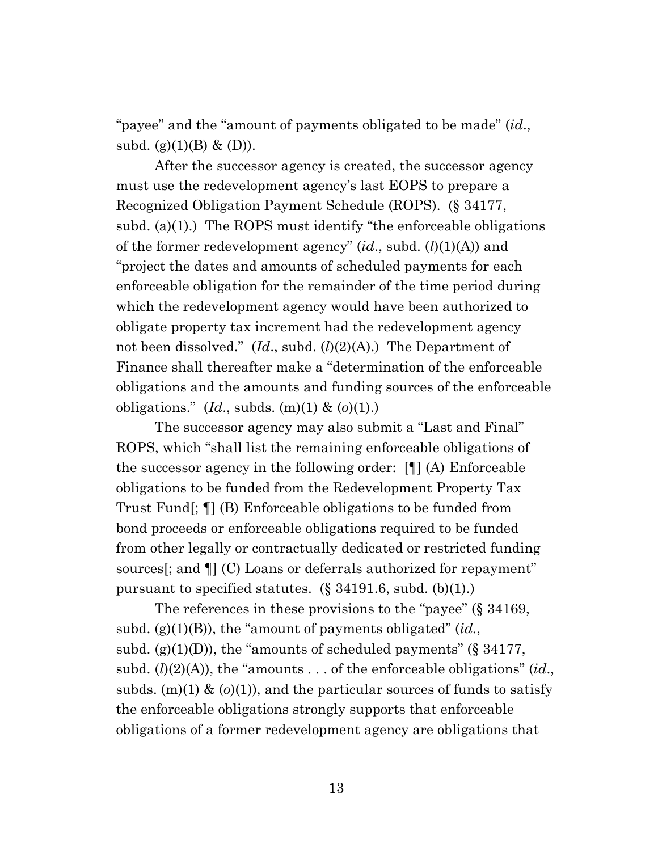"payee" and the "amount of payments obligated to be made" (*id*., subd. (g) $(1)(B) \& (D)$ ).

After the successor agency is created, the successor agency must use the redevelopment agency's last EOPS to prepare a Recognized Obligation Payment Schedule (ROPS). (§ 34177, subd. (a)(1).) The ROPS must identify "the enforceable obligations of the former redevelopment agency" (*id*., subd. (*l*)(1)(A)) and "project the dates and amounts of scheduled payments for each enforceable obligation for the remainder of the time period during which the redevelopment agency would have been authorized to obligate property tax increment had the redevelopment agency not been dissolved." (*Id*., subd. (*l*)(2)(A).) The Department of Finance shall thereafter make a "determination of the enforceable obligations and the amounts and funding sources of the enforceable obligations." (*Id*., subds. (m)(1) & (*o*)(1).)

The successor agency may also submit a "Last and Final" ROPS, which "shall list the remaining enforceable obligations of the successor agency in the following order: [¶] (A) Enforceable obligations to be funded from the Redevelopment Property Tax Trust Fund[; ¶] (B) Enforceable obligations to be funded from bond proceeds or enforceable obligations required to be funded from other legally or contractually dedicated or restricted funding sources<sup>[</sup>; and  $\P$ ] (C) Loans or deferrals authorized for repayment" pursuant to specified statutes. (§ 34191.6, subd. (b)(1).)

The references in these provisions to the "payee" (§ 34169, subd. (g)(1)(B)), the "amount of payments obligated" (*id.*, subd. (g)(1)(D)), the "amounts of scheduled payments" (§  $34177$ , subd.  $(l)(2)(A)$ , the "amounts . . . of the enforceable obligations" (*id.*, subds. (m)(1) & (*o*)(1)), and the particular sources of funds to satisfy the enforceable obligations strongly supports that enforceable obligations of a former redevelopment agency are obligations that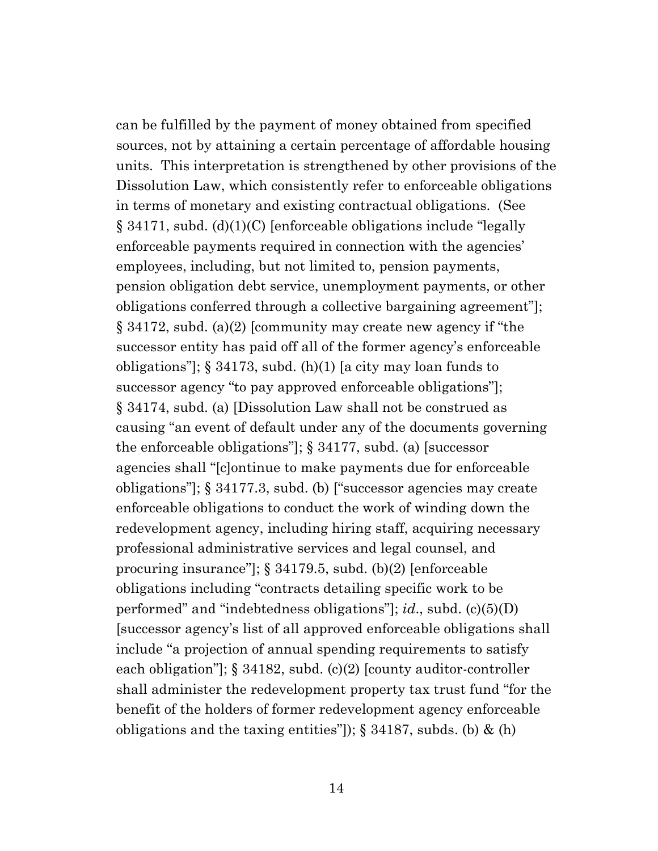can be fulfilled by the payment of money obtained from specified sources, not by attaining a certain percentage of affordable housing units. This interpretation is strengthened by other provisions of the Dissolution Law, which consistently refer to enforceable obligations in terms of monetary and existing contractual obligations. (See § 34171, subd. (d)(1)(C) [enforceable obligations include "legally enforceable payments required in connection with the agencies' employees, including, but not limited to, pension payments, pension obligation debt service, unemployment payments, or other obligations conferred through a collective bargaining agreement"]; § 34172, subd. (a)(2) [community may create new agency if "the successor entity has paid off all of the former agency's enforceable obligations"]; § 34173, subd. (h)(1) [a city may loan funds to successor agency "to pay approved enforceable obligations"]; § 34174, subd. (a) [Dissolution Law shall not be construed as causing "an event of default under any of the documents governing the enforceable obligations"]; § 34177, subd. (a) [successor agencies shall "[c]ontinue to make payments due for enforceable obligations"]; § 34177.3, subd. (b) ["successor agencies may create enforceable obligations to conduct the work of winding down the redevelopment agency, including hiring staff, acquiring necessary professional administrative services and legal counsel, and procuring insurance"]; § 34179.5, subd. (b)(2) [enforceable obligations including "contracts detailing specific work to be performed" and "indebtedness obligations"]; *id*., subd. (c)(5)(D) [successor agency's list of all approved enforceable obligations shall include "a projection of annual spending requirements to satisfy each obligation"]; § 34182, subd. (c)(2) [county auditor-controller shall administer the redevelopment property tax trust fund "for the benefit of the holders of former redevelopment agency enforceable obligations and the taxing entities"]);  $\S$  34187, subds. (b) & (h)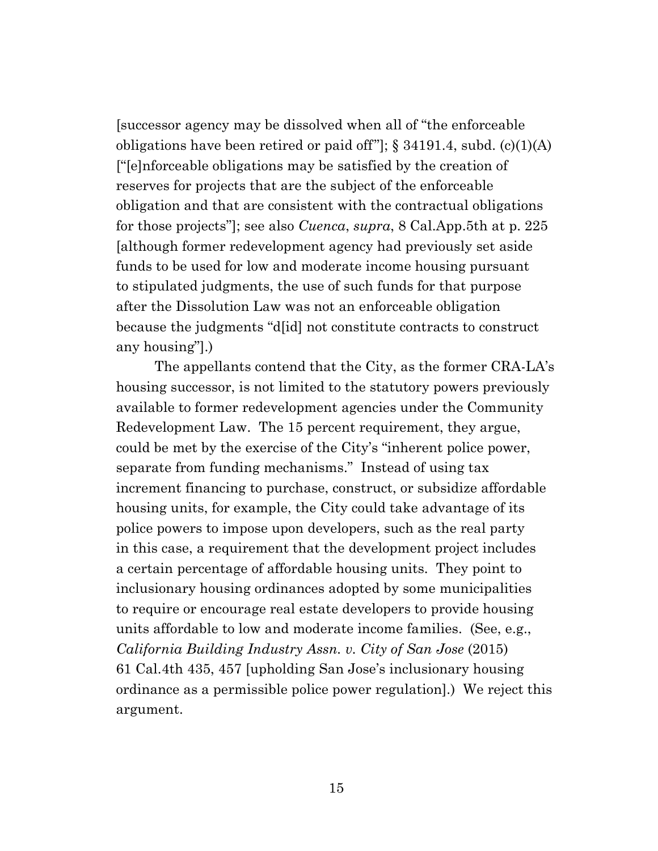[successor agency may be dissolved when all of "the enforceable obligations have been retired or paid of  $f''$ ]; § 34191.4, subd. (c)(1)(A) ["[e]nforceable obligations may be satisfied by the creation of reserves for projects that are the subject of the enforceable obligation and that are consistent with the contractual obligations for those projects"]; see also *Cuenca*, *supra*, 8 Cal.App.5th at p. 225 [although former redevelopment agency had previously set aside funds to be used for low and moderate income housing pursuant to stipulated judgments, the use of such funds for that purpose after the Dissolution Law was not an enforceable obligation because the judgments "d[id] not constitute contracts to construct any housing"].)

The appellants contend that the City, as the former CRA-LA's housing successor, is not limited to the statutory powers previously available to former redevelopment agencies under the Community Redevelopment Law. The 15 percent requirement, they argue, could be met by the exercise of the City's "inherent police power, separate from funding mechanisms." Instead of using tax increment financing to purchase, construct, or subsidize affordable housing units, for example, the City could take advantage of its police powers to impose upon developers, such as the real party in this case, a requirement that the development project includes a certain percentage of affordable housing units. They point to inclusionary housing ordinances adopted by some municipalities to require or encourage real estate developers to provide housing units affordable to low and moderate income families. (See, e.g., *California Building Industry Assn. v. City of San Jose* (2015) 61 Cal.4th 435, 457 [upholding San Jose's inclusionary housing ordinance as a permissible police power regulation].) We reject this argument.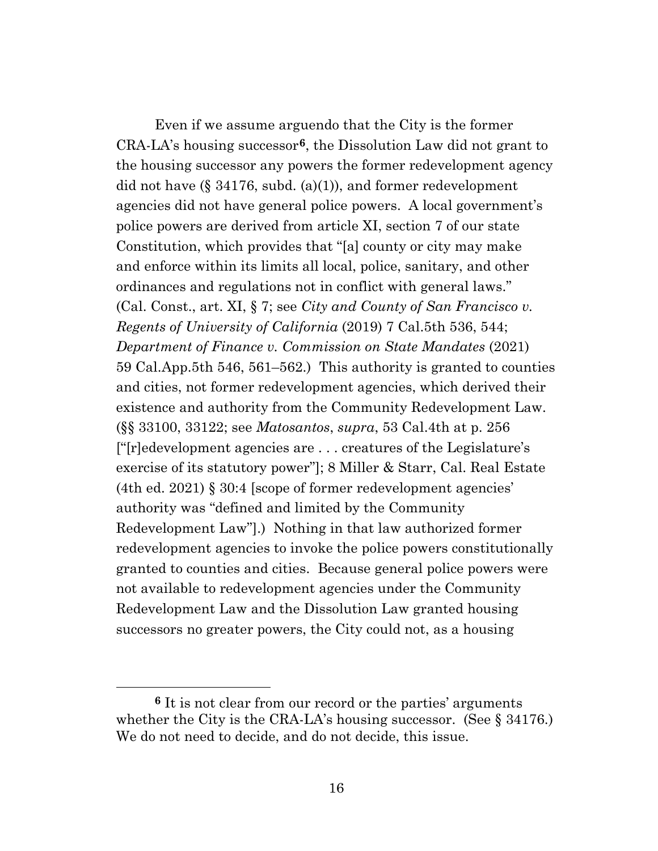Even if we assume arguendo that the City is the former CRA-LA's housing successor**[6](#page-15-0)**, the Dissolution Law did not grant to the housing successor any powers the former redevelopment agency did not have  $(\S 34176, \text{subd.} (a)(1))$ , and former redevelopment agencies did not have general police powers. A local government's police powers are derived from article XI, section 7 of our state Constitution, which provides that "[a] county or city may make and enforce within its limits all local, police, sanitary, and other ordinances and regulations not in conflict with general laws." (Cal. Const., art. XI, § 7; see *City and County of San Francisco v. Regents of University of California* (2019) 7 Cal.5th 536, 544; *Department of Finance v. Commission on State Mandates* (2021) 59 Cal.App.5th 546, 561–562.) This authority is granted to counties and cities, not former redevelopment agencies, which derived their existence and authority from the Community Redevelopment Law. (§§ 33100, 33122; see *Matosantos*, *supra*, 53 Cal.4th at p. 256 ["[r]edevelopment agencies are . . . creatures of the Legislature's exercise of its statutory power"]; 8 Miller & Starr, Cal. Real Estate (4th ed. 2021) § 30:4 [scope of former redevelopment agencies' authority was "defined and limited by the Community Redevelopment Law"].) Nothing in that law authorized former redevelopment agencies to invoke the police powers constitutionally granted to counties and cities. Because general police powers were not available to redevelopment agencies under the Community Redevelopment Law and the Dissolution Law granted housing successors no greater powers, the City could not, as a housing

<span id="page-15-0"></span>**<sup>6</sup>** It is not clear from our record or the parties' arguments whether the City is the CRA-LA's housing successor. (See § 34176.) We do not need to decide, and do not decide, this issue.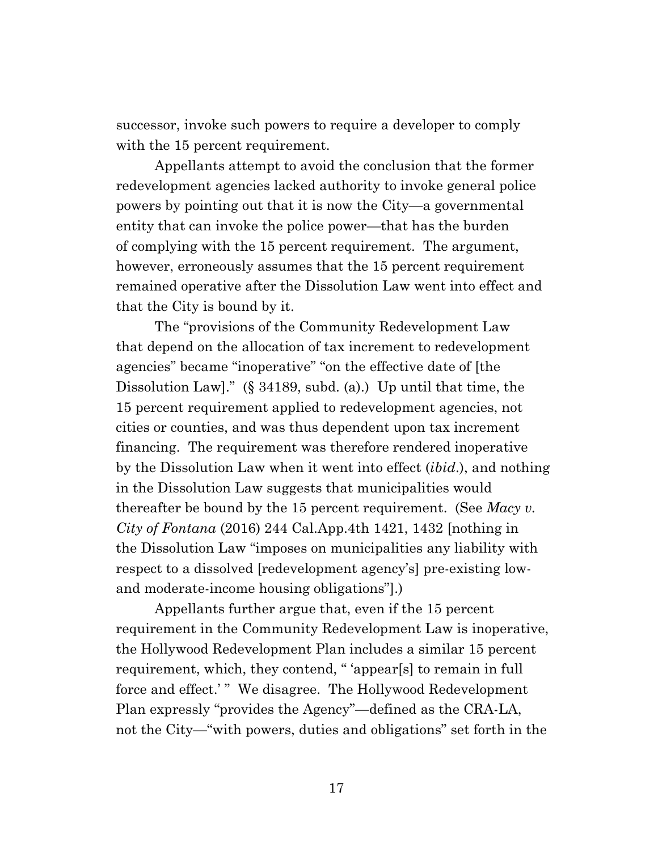successor, invoke such powers to require a developer to comply with the 15 percent requirement.

Appellants attempt to avoid the conclusion that the former redevelopment agencies lacked authority to invoke general police powers by pointing out that it is now the City—a governmental entity that can invoke the police power—that has the burden of complying with the 15 percent requirement. The argument, however, erroneously assumes that the 15 percent requirement remained operative after the Dissolution Law went into effect and that the City is bound by it.

The "provisions of the Community Redevelopment Law that depend on the allocation of tax increment to redevelopment agencies" became "inoperative" "on the effective date of [the Dissolution Law]." (§ 34189, subd. (a).) Up until that time, the 15 percent requirement applied to redevelopment agencies, not cities or counties, and was thus dependent upon tax increment financing. The requirement was therefore rendered inoperative by the Dissolution Law when it went into effect (*ibid*.), and nothing in the Dissolution Law suggests that municipalities would thereafter be bound by the 15 percent requirement. (See *Macy v. City of Fontana* (2016) 244 Cal.App.4th 1421, 1432 [nothing in the Dissolution Law "imposes on municipalities any liability with respect to a dissolved [redevelopment agency's] pre-existing lowand moderate-income housing obligations"].)

Appellants further argue that, even if the 15 percent requirement in the Community Redevelopment Law is inoperative, the Hollywood Redevelopment Plan includes a similar 15 percent requirement, which, they contend, " 'appear[s] to remain in full force and effect.'" We disagree. The Hollywood Redevelopment Plan expressly "provides the Agency"—defined as the CRA-LA, not the City—"with powers, duties and obligations" set forth in the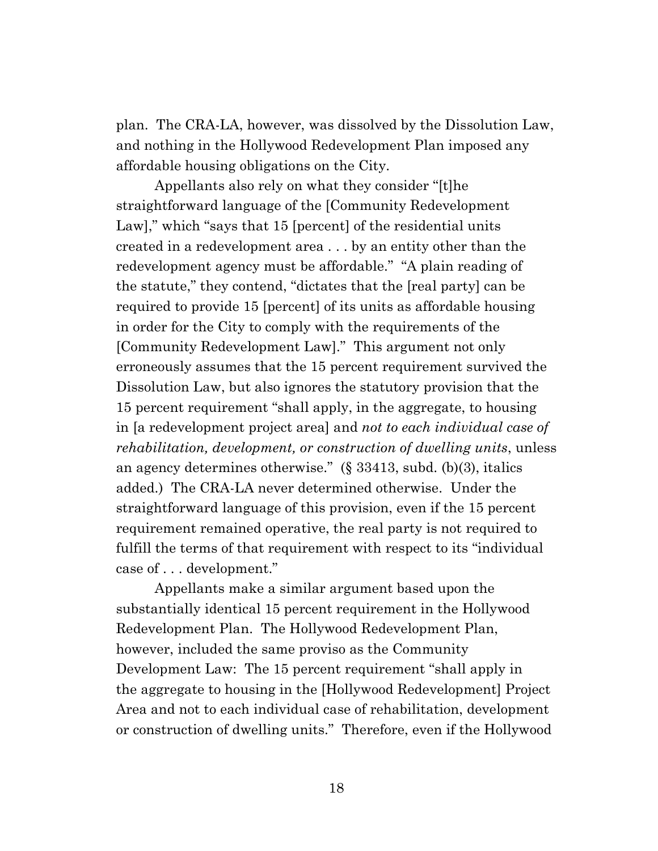plan. The CRA-LA, however, was dissolved by the Dissolution Law, and nothing in the Hollywood Redevelopment Plan imposed any affordable housing obligations on the City.

Appellants also rely on what they consider "[t]he straightforward language of the [Community Redevelopment Law]," which "says that 15 [percent] of the residential units created in a redevelopment area . . . by an entity other than the redevelopment agency must be affordable." "A plain reading of the statute," they contend, "dictates that the [real party] can be required to provide 15 [percent] of its units as affordable housing in order for the City to comply with the requirements of the [Community Redevelopment Law]." This argument not only erroneously assumes that the 15 percent requirement survived the Dissolution Law, but also ignores the statutory provision that the 15 percent requirement "shall apply, in the aggregate, to housing in [a redevelopment project area] and *not to each individual case of rehabilitation, development, or construction of dwelling units*, unless an agency determines otherwise." (§ 33413, subd. (b)(3), italics added.) The CRA-LA never determined otherwise. Under the straightforward language of this provision, even if the 15 percent requirement remained operative, the real party is not required to fulfill the terms of that requirement with respect to its "individual case of . . . development."

Appellants make a similar argument based upon the substantially identical 15 percent requirement in the Hollywood Redevelopment Plan. The Hollywood Redevelopment Plan, however, included the same proviso as the Community Development Law: The 15 percent requirement "shall apply in the aggregate to housing in the [Hollywood Redevelopment] Project Area and not to each individual case of rehabilitation, development or construction of dwelling units." Therefore, even if the Hollywood